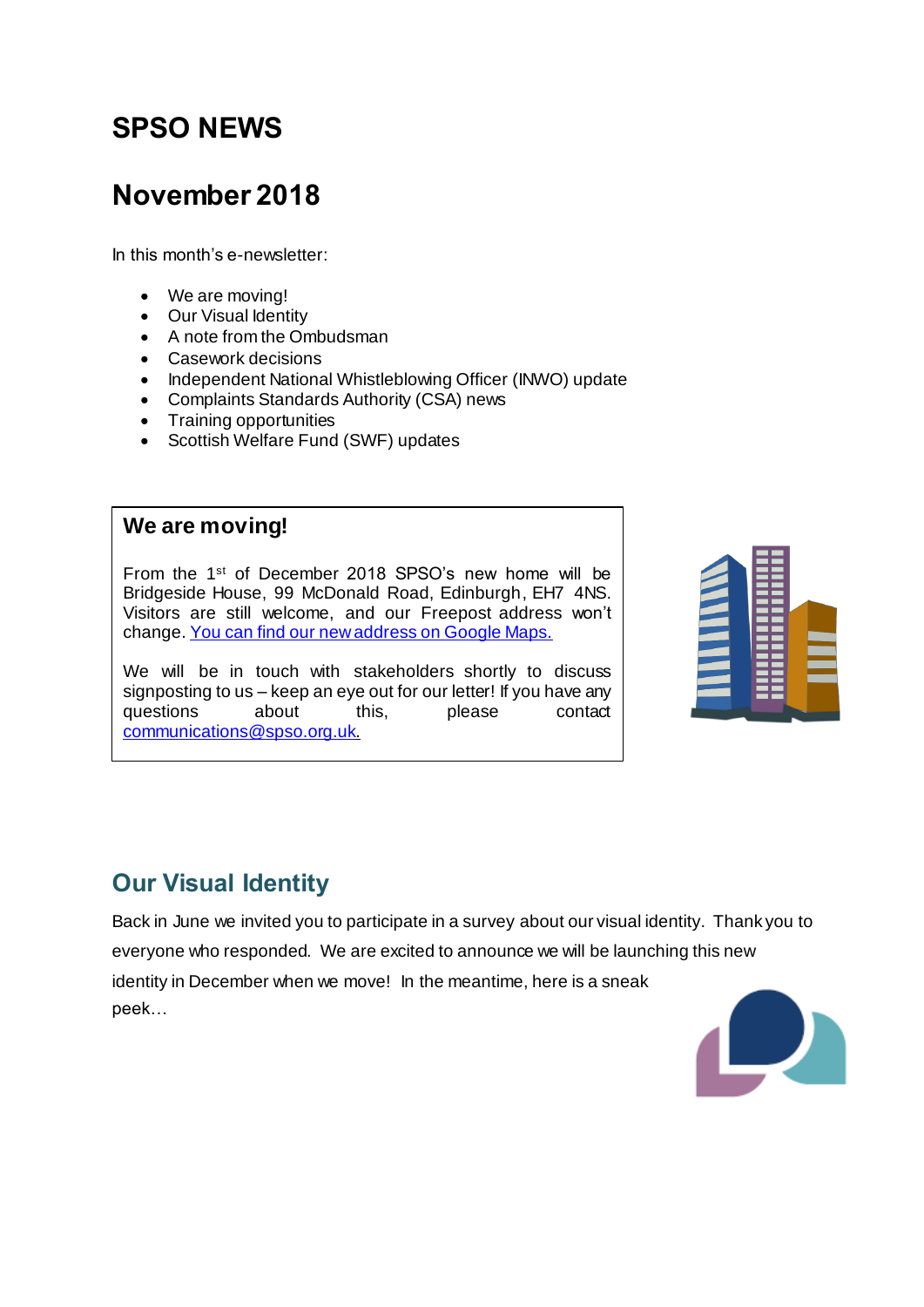# **SPSO NEWS**

## **November 2018**

In this month's e-newsletter:

- We are moving!
- Our Visual Identity
- A note from the Ombudsman
- Casework decisions
- Independent National Whistleblowing Officer (INWO) update
- Complaints Standards Authority (CSA) news
- Training opportunities
- Scottish Welfare Fund (SWF) updates

#### **We are moving!**

From the 1<sup>st</sup> of December 2018 SPSO's new home will be Bridgeside House, 99 McDonald Road, Edinburgh, EH7 4NS. Visitors are still welcome, and our Freepost address won't change[. You can find our new address on Google Maps.](https://goo.gl/maps/UcBKFr5VN3F2)

We will be in touch with stakeholders shortly to discuss signposting to us – keep an eye out for our letter! If you have any questions about this, please contact [communications@spso.org.uk](mailto:communications@spso.org.uk).



### **Our Visual Identity**

Back in June we invited you to participate in a survey about our visual identity. Thank you to everyone who responded. We are excited to announce we will be launching this new identity in December when we move! In the meantime, here is a sneak peek…

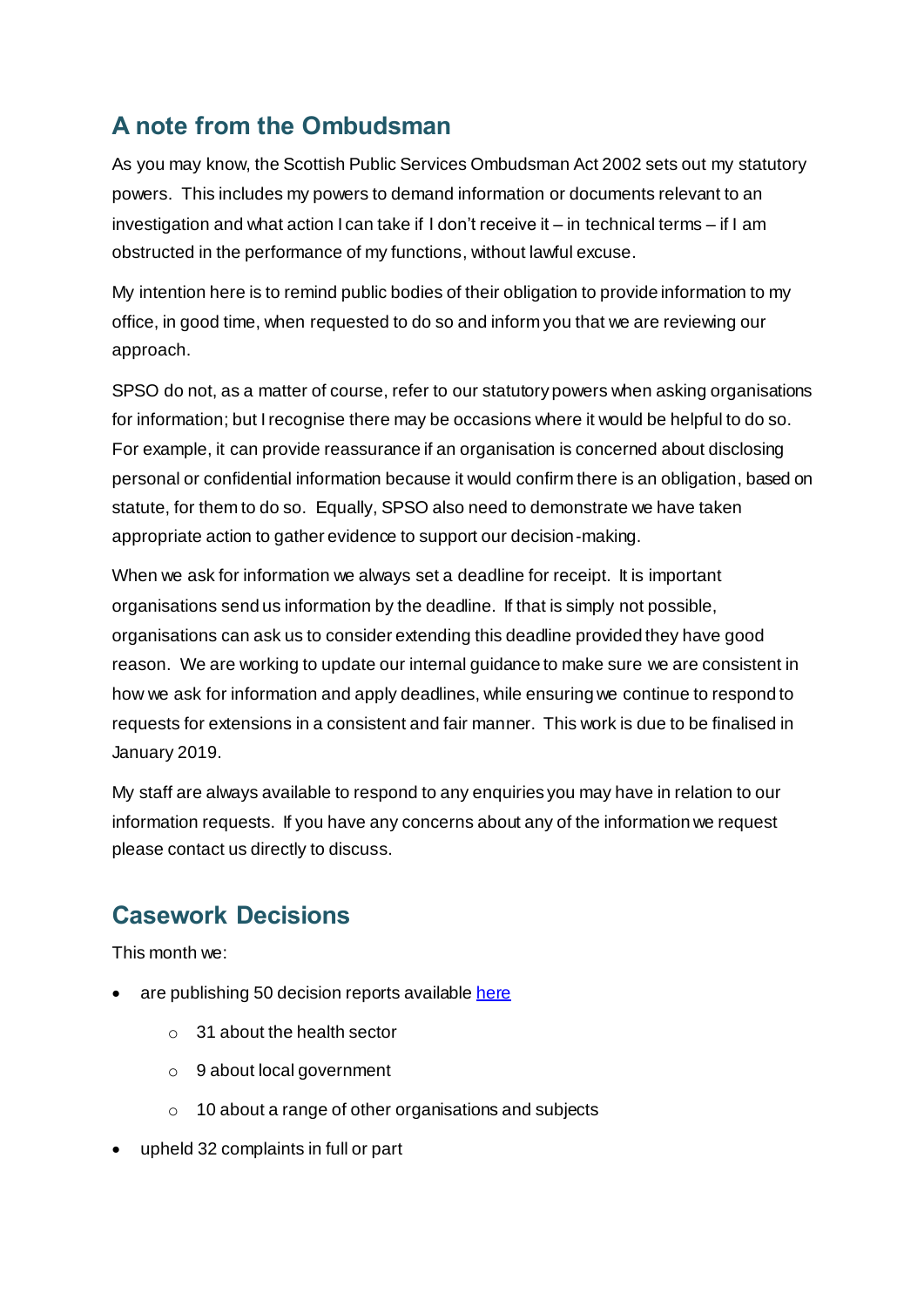## **A note from the Ombudsman**

As you may know, the Scottish Public Services Ombudsman Act 2002 sets out my statutory powers. This includes my powers to demand information or documents relevant to an investigation and what action I can take if I don't receive it – in technical terms – if I am obstructed in the performance of my functions, without lawful excuse.

My intention here is to remind public bodies of their obligation to provide information to my office, in good time, when requested to do so and inform you that we are reviewing our approach.

SPSO do not, as a matter of course, refer to our statutory powers when asking organisations for information; but I recognise there may be occasions where it would be helpful to do so. For example, it can provide reassurance if an organisation is concerned about disclosing personal or confidential information because it would confirm there is an obligation, based on statute, for them to do so. Equally, SPSO also need to demonstrate we have taken appropriate action to gather evidence to support our decision-making.

When we ask for information we always set a deadline for receipt. It is important organisations send us information by the deadline. If that is simply not possible, organisations can ask us to consider extending this deadline provided they have good reason. We are working to update our internal guidance to make sure we are consistent in how we ask for information and apply deadlines, while ensuring we continue to respond to requests for extensions in a consistent and fair manner. This work is due to be finalised in January 2019.

My staff are always available to respond to any enquiries you may have in relation to our information requests. If you have any concerns about any of the information we request please contact us directly to discuss.

### **Casework Decisions**

This month we:

- are publishing 50 decision reports availabl[e here](http://www.spso.org.uk/our-findings)
	- o 31 about the health sector
	- o 9 about local government
	- o 10 about a range of other organisations and subjects
- upheld 32 complaints in full or part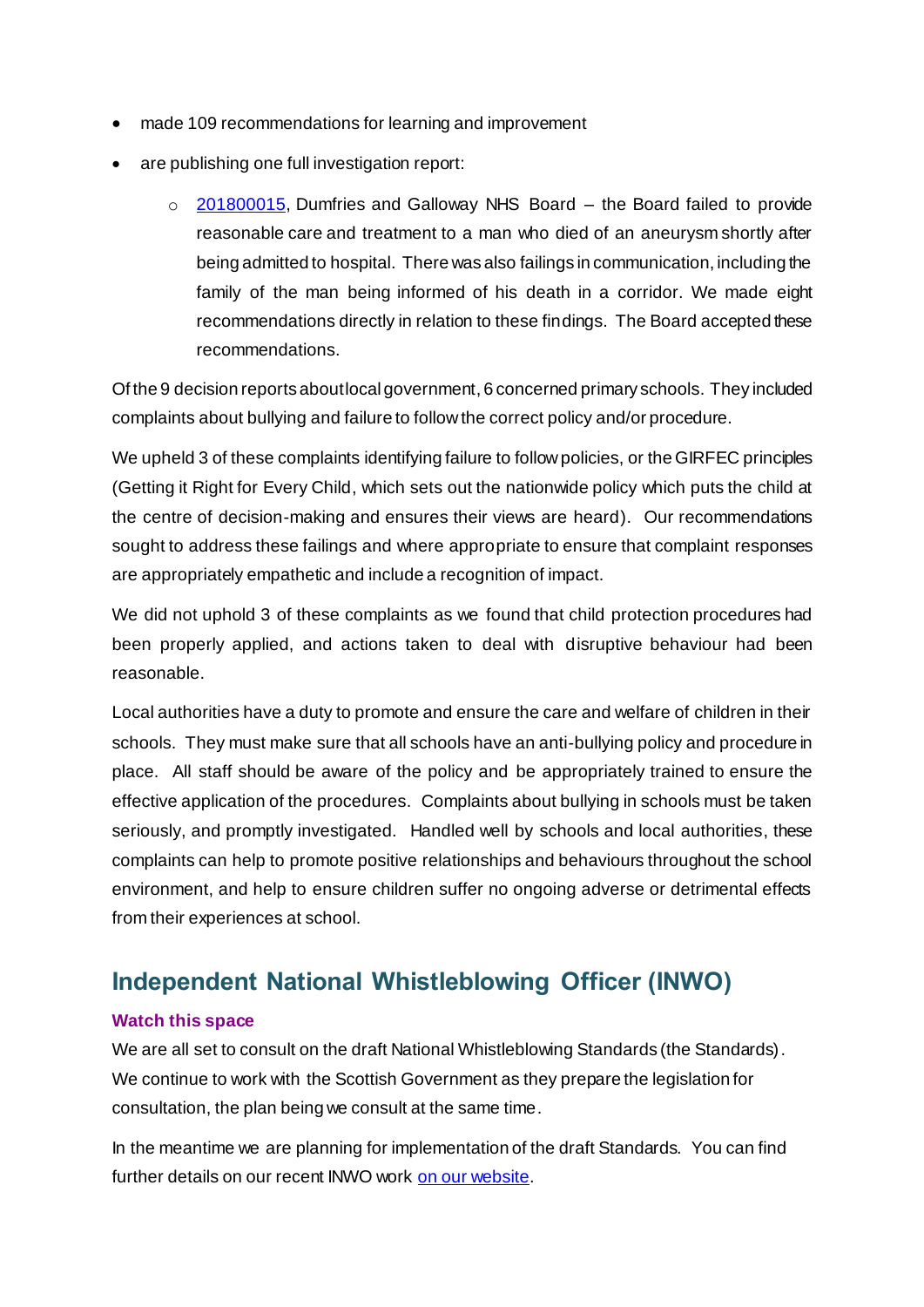- made 109 recommendations for learning and improvement
- are publishing one full investigation report:
	- o [201800015](https://www.spso.org.uk/investigation-reports/2018/november/dumfries-and-galloway-nhs-board), Dumfries and Galloway NHS Board the Board failed to provide reasonable care and treatment to a man who died of an aneurysm shortly after being admitted to hospital. There was also failings in communication, including the family of the man being informed of his death in a corridor. We made eight recommendations directly in relation to these findings. The Board accepted these recommendations.

Of the 9 decision reports about local government, 6 concerned primary schools. They included complaints about bullying and failure to follow the correct policy and/or procedure.

We upheld 3 of these complaints identifying failure to follow policies, or the GIRFEC principles (Getting it Right for Every Child, which sets out the nationwide policy which puts the child at the centre of decision-making and ensures their views are heard). Our recommendations sought to address these failings and where appropriate to ensure that complaint responses are appropriately empathetic and include a recognition of impact.

We did not uphold 3 of these complaints as we found that child protection procedures had been properly applied, and actions taken to deal with disruptive behaviour had been reasonable.

Local authorities have a duty to promote and ensure the care and welfare of children in their schools. They must make sure that all schools have an anti-bullying policy and procedure in place. All staff should be aware of the policy and be appropriately trained to ensure the effective application of the procedures. Complaints about bullying in schools must be taken seriously, and promptly investigated. Handled well by schools and local authorities, these complaints can help to promote positive relationships and behaviours throughout the school environment, and help to ensure children suffer no ongoing adverse or detrimental effects from their experiences at school.

### **Independent National Whistleblowing Officer (INWO)**

#### **Watch this space**

We are all set to consult on the draft National Whistleblowing Standards (the Standards). We continue to work with the Scottish Government as they prepare the legislation for consultation, the plan being we consult at the same time.

In the meantime we are planning for implementation of the draft Standards. You can find further details on our recent INWO work [on our website.](http://www.valuingcomplaints.org.uk/news)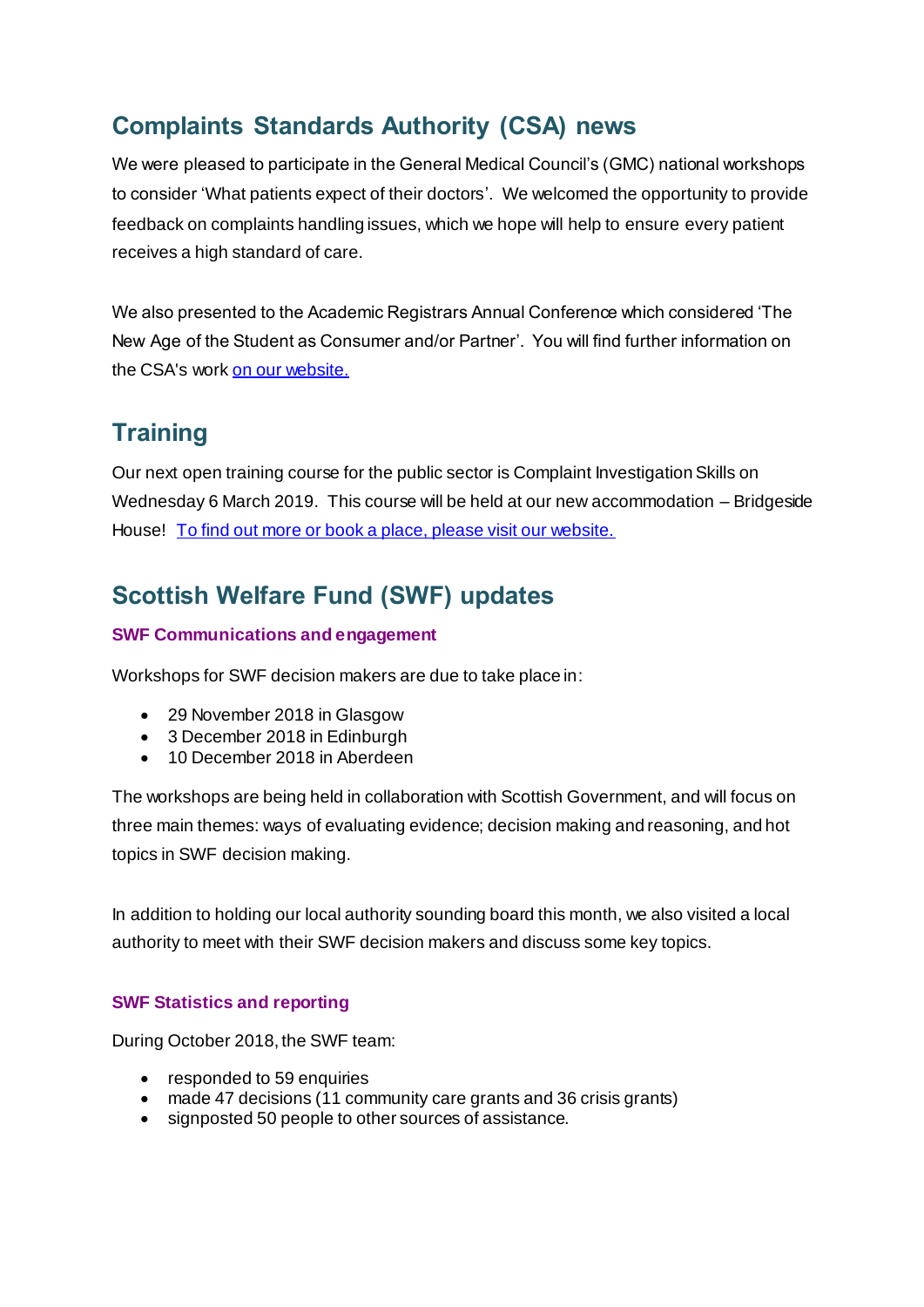## **Complaints Standards Authority (CSA) news**

We were pleased to participate in the General Medical Council's (GMC) national workshops to consider 'What patients expect of their doctors'. We welcomed the opportunity to provide feedback on complaints handling issues, which we hope will help to ensure every patient receives a high standard of care.

We also presented to the Academic Registrars Annual Conference which considered 'The New Age of the Student as Consumer and/or Partner'. You will find further information on the CSA's work [on our website.](http://www.valuingcomplaints.org.uk/news)

### **Training**

Our next open training course for the public sector is Complaint Investigation Skills on Wednesday 6 March 2019. This course will be held at our new accommodation – Bridgeside House! [To find out more or book a place, please visit our website.](http://www.valuingcomplaints.org.uk/training/training-courses) 

## **Scottish Welfare Fund (SWF) updates**

#### **SWF Communications and engagement**

Workshops for SWF decision makers are due to take place in:

- 29 November 2018 in Glasgow
- 3 December 2018 in Edinburgh
- 10 December 2018 in Aberdeen

The workshops are being held in collaboration with Scottish Government, and will focus on three main themes: ways of evaluating evidence; decision making and reasoning, and hot topics in SWF decision making.

In addition to holding our local authority sounding board this month, we also visited a local authority to meet with their SWF decision makers and discuss some key topics.

#### **SWF Statistics and reporting**

During October 2018, the SWF team:

- responded to 59 enquiries
- made 47 decisions (11 community care grants and 36 crisis grants)
- signposted 50 people to other sources of assistance.